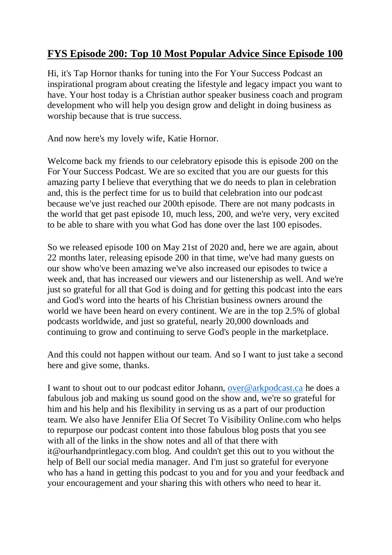## **FYS Episode 200: Top 10 Most Popular Advice Since Episode 100**

Hi, it's Tap Hornor thanks for tuning into the For Your Success Podcast an inspirational program about creating the lifestyle and legacy impact you want to have. Your host today is a Christian author speaker business coach and program development who will help you design grow and delight in doing business as worship because that is true success.

And now here's my lovely wife, Katie Hornor.

Welcome back my friends to our celebratory episode this is episode 200 on the For Your Success Podcast. We are so excited that you are our guests for this amazing party I believe that everything that we do needs to plan in celebration and, this is the perfect time for us to build that celebration into our podcast because we've just reached our 200th episode. There are not many podcasts in the world that get past episode 10, much less, 200, and we're very, very excited to be able to share with you what God has done over the last 100 episodes.

So we released episode 100 on May 21st of 2020 and, here we are again, about 22 months later, releasing episode 200 in that time, we've had many guests on our show who've been amazing we've also increased our episodes to twice a week and, that has increased our viewers and our listenership as well. And we're just so grateful for all that God is doing and for getting this podcast into the ears and God's word into the hearts of his Christian business owners around the world we have been heard on every continent. We are in the top 2.5% of global podcasts worldwide, and just so grateful, nearly 20,000 downloads and continuing to grow and continuing to serve God's people in the marketplace.

And this could not happen without our team. And so I want to just take a second here and give some, thanks.

I want to shout out to our podcast editor Johann, [over@arkpodcast.ca](mailto:over@arkpodcast.ca) he does a fabulous job and making us sound good on the show and, we're so grateful for him and his help and his flexibility in serving us as a part of our production team. We also have Jennifer Elia Of Secret To Visibility Online.com who helps to repurpose our podcast content into those fabulous blog posts that you see with all of the links in the show notes and all of that there with it@ourhandprintlegacy.com blog. And couldn't get this out to you without the help of Bell our social media manager. And I'm just so grateful for everyone who has a hand in getting this podcast to you and for you and your feedback and your encouragement and your sharing this with others who need to hear it.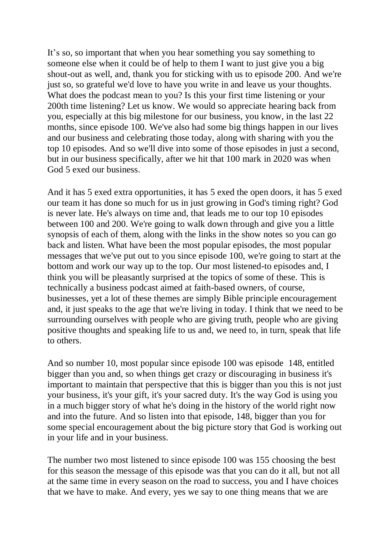It's so, so important that when you hear something you say something to someone else when it could be of help to them I want to just give you a big shout-out as well, and, thank you for sticking with us to episode 200. And we're just so, so grateful we'd love to have you write in and leave us your thoughts. What does the podcast mean to you? Is this your first time listening or your 200th time listening? Let us know. We would so appreciate hearing back from you, especially at this big milestone for our business, you know, in the last 22 months, since episode 100. We've also had some big things happen in our lives and our business and celebrating those today, along with sharing with you the top 10 episodes. And so we'll dive into some of those episodes in just a second, but in our business specifically, after we hit that 100 mark in 2020 was when God 5 exed our business.

And it has 5 exed extra opportunities, it has 5 exed the open doors, it has 5 exed our team it has done so much for us in just growing in God's timing right? God is never late. He's always on time and, that leads me to our top 10 episodes between 100 and 200. We're going to walk down through and give you a little synopsis of each of them, along with the links in the show notes so you can go back and listen. What have been the most popular episodes, the most popular messages that we've put out to you since episode 100, we're going to start at the bottom and work our way up to the top. Our most listened-to episodes and, I think you will be pleasantly surprised at the topics of some of these. This is technically a business podcast aimed at faith-based owners, of course, businesses, yet a lot of these themes are simply Bible principle encouragement and, it just speaks to the age that we're living in today. I think that we need to be surrounding ourselves with people who are giving truth, people who are giving positive thoughts and speaking life to us and, we need to, in turn, speak that life to others.

And so number 10, most popular since episode 100 was episode 148, entitled bigger than you and, so when things get crazy or discouraging in business it's important to maintain that perspective that this is bigger than you this is not just your business, it's your gift, it's your sacred duty. It's the way God is using you in a much bigger story of what he's doing in the history of the world right now and into the future. And so listen into that episode, 148, bigger than you for some special encouragement about the big picture story that God is working out in your life and in your business.

The number two most listened to since episode 100 was 155 choosing the best for this season the message of this episode was that you can do it all, but not all at the same time in every season on the road to success, you and I have choices that we have to make. And every, yes we say to one thing means that we are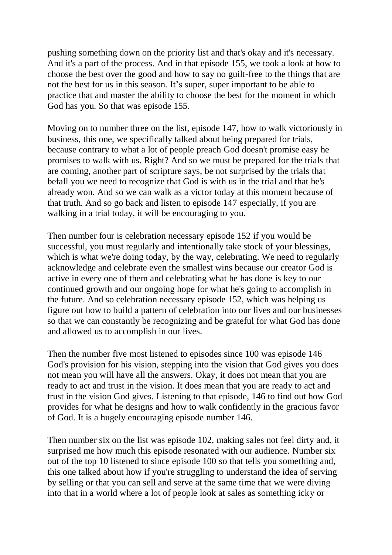pushing something down on the priority list and that's okay and it's necessary. And it's a part of the process. And in that episode 155, we took a look at how to choose the best over the good and how to say no guilt-free to the things that are not the best for us in this season. It's super, super important to be able to practice that and master the ability to choose the best for the moment in which God has you. So that was episode 155.

Moving on to number three on the list, episode 147, how to walk victoriously in business, this one, we specifically talked about being prepared for trials, because contrary to what a lot of people preach God doesn't promise easy he promises to walk with us. Right? And so we must be prepared for the trials that are coming, another part of scripture says, be not surprised by the trials that befall you we need to recognize that God is with us in the trial and that he's already won. And so we can walk as a victor today at this moment because of that truth. And so go back and listen to episode 147 especially, if you are walking in a trial today, it will be encouraging to you.

Then number four is celebration necessary episode 152 if you would be successful, you must regularly and intentionally take stock of your blessings, which is what we're doing today, by the way, celebrating. We need to regularly acknowledge and celebrate even the smallest wins because our creator God is active in every one of them and celebrating what he has done is key to our continued growth and our ongoing hope for what he's going to accomplish in the future. And so celebration necessary episode 152, which was helping us figure out how to build a pattern of celebration into our lives and our businesses so that we can constantly be recognizing and be grateful for what God has done and allowed us to accomplish in our lives.

Then the number five most listened to episodes since 100 was episode 146 God's provision for his vision, stepping into the vision that God gives you does not mean you will have all the answers. Okay, it does not mean that you are ready to act and trust in the vision. It does mean that you are ready to act and trust in the vision God gives. Listening to that episode, 146 to find out how God provides for what he designs and how to walk confidently in the gracious favor of God. It is a hugely encouraging episode number 146.

Then number six on the list was episode 102, making sales not feel dirty and, it surprised me how much this episode resonated with our audience. Number six out of the top 10 listened to since episode 100 so that tells you something and, this one talked about how if you're struggling to understand the idea of serving by selling or that you can sell and serve at the same time that we were diving into that in a world where a lot of people look at sales as something icky or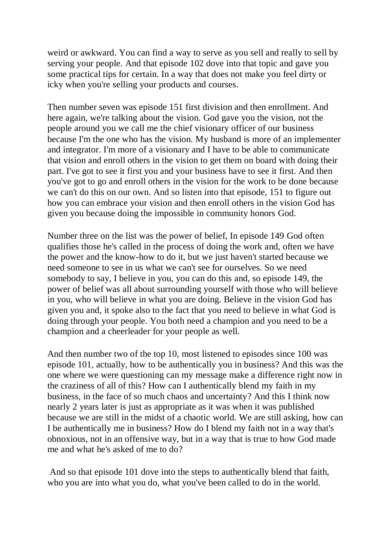weird or awkward. You can find a way to serve as you sell and really to sell by serving your people. And that episode 102 dove into that topic and gave you some practical tips for certain. In a way that does not make you feel dirty or icky when you're selling your products and courses.

Then number seven was episode 151 first division and then enrollment. And here again, we're talking about the vision. God gave you the vision, not the people around you we call me the chief visionary officer of our business because I'm the one who has the vision. My husband is more of an implementer and integrator. I'm more of a visionary and I have to be able to communicate that vision and enroll others in the vision to get them on board with doing their part. I've got to see it first you and your business have to see it first. And then you've got to go and enroll others in the vision for the work to be done because we can't do this on our own. And so listen into that episode, 151 to figure out how you can embrace your vision and then enroll others in the vision God has given you because doing the impossible in community honors God.

Number three on the list was the power of belief, In episode 149 God often qualifies those he's called in the process of doing the work and, often we have the power and the know-how to do it, but we just haven't started because we need someone to see in us what we can't see for ourselves. So we need somebody to say, I believe in you, you can do this and, so episode 149, the power of belief was all about surrounding yourself with those who will believe in you, who will believe in what you are doing. Believe in the vision God has given you and, it spoke also to the fact that you need to believe in what God is doing through your people. You both need a champion and you need to be a champion and a cheerleader for your people as well.

And then number two of the top 10, most listened to episodes since 100 was episode 101, actually, how to be authentically you in business? And this was the one where we were questioning can my message make a difference right now in the craziness of all of this? How can I authentically blend my faith in my business, in the face of so much chaos and uncertainty? And this I think now nearly 2 years later is just as appropriate as it was when it was published because we are still in the midst of a chaotic world. We are still asking, how can I be authentically me in business? How do I blend my faith not in a way that's obnoxious, not in an offensive way, but in a way that is true to how God made me and what he's asked of me to do?

And so that episode 101 dove into the steps to authentically blend that faith, who you are into what you do, what you've been called to do in the world.